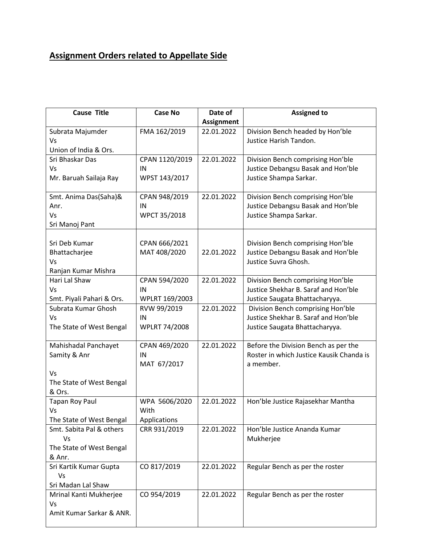## **Assignment Orders related to Appellate Side**

| <b>Cause Title</b>                   | <b>Case No</b>       | Date of           | <b>Assigned to</b>                                                        |
|--------------------------------------|----------------------|-------------------|---------------------------------------------------------------------------|
|                                      |                      | <b>Assignment</b> |                                                                           |
| Subrata Majumder                     | FMA 162/2019         | 22.01.2022        | Division Bench headed by Hon'ble                                          |
| Vs                                   |                      |                   | Justice Harish Tandon.                                                    |
| Union of India & Ors.                |                      |                   |                                                                           |
| Sri Bhaskar Das                      | CPAN 1120/2019       | 22.01.2022        | Division Bench comprising Hon'ble                                         |
| Vs                                   | IN                   |                   | Justice Debangsu Basak and Hon'ble                                        |
| Mr. Baruah Sailaja Ray               | WPST 143/2017        |                   | Justice Shampa Sarkar.                                                    |
| Smt. Anima Das(Saha)&                | CPAN 948/2019        | 22.01.2022        | Division Bench comprising Hon'ble                                         |
| Anr.                                 | IN                   |                   | Justice Debangsu Basak and Hon'ble                                        |
| Vs                                   | WPCT 35/2018         |                   | Justice Shampa Sarkar.                                                    |
| Sri Manoj Pant                       |                      |                   |                                                                           |
|                                      |                      |                   |                                                                           |
| Sri Deb Kumar                        | CPAN 666/2021        |                   | Division Bench comprising Hon'ble                                         |
| Bhattacharjee                        | MAT 408/2020         | 22.01.2022        | Justice Debangsu Basak and Hon'ble                                        |
| Vs                                   |                      |                   | Justice Suvra Ghosh.                                                      |
| Ranjan Kumar Mishra<br>Hari Lal Shaw |                      | 22.01.2022        |                                                                           |
| Vs                                   | CPAN 594/2020<br>IN  |                   | Division Bench comprising Hon'ble<br>Justice Shekhar B. Saraf and Hon'ble |
| Smt. Piyali Pahari & Ors.            | WPLRT 169/2003       |                   | Justice Saugata Bhattacharyya.                                            |
| Subrata Kumar Ghosh                  | RVW 99/2019          | 22.01.2022        | Division Bench comprising Hon'ble                                         |
| Vs                                   | IN                   |                   | Justice Shekhar B. Saraf and Hon'ble                                      |
| The State of West Bengal             | <b>WPLRT 74/2008</b> |                   | Justice Saugata Bhattacharyya.                                            |
|                                      |                      |                   |                                                                           |
| Mahishadal Panchayet                 | CPAN 469/2020        | 22.01.2022        | Before the Division Bench as per the                                      |
| Samity & Anr                         | IN                   |                   | Roster in which Justice Kausik Chanda is                                  |
|                                      | MAT 67/2017          |                   | a member.                                                                 |
| Vs                                   |                      |                   |                                                                           |
| The State of West Bengal             |                      |                   |                                                                           |
| & Ors.                               |                      |                   |                                                                           |
| <b>Tapan Roy Paul</b>                | WPA 5606/2020        | 22.01.2022        | Hon'ble Justice Rajasekhar Mantha                                         |
| Vs                                   | With                 |                   |                                                                           |
| The State of West Bengal             | Applications         |                   |                                                                           |
| Smt. Sabita Pal & others<br>Vs       | CRR 931/2019         | 22.01.2022        | Hon'ble Justice Ananda Kumar                                              |
| The State of West Bengal             |                      |                   | Mukherjee                                                                 |
| & Anr.                               |                      |                   |                                                                           |
| Sri Kartik Kumar Gupta               | CO 817/2019          | 22.01.2022        | Regular Bench as per the roster                                           |
| Vs                                   |                      |                   |                                                                           |
| Sri Madan Lal Shaw                   |                      |                   |                                                                           |
| Mrinal Kanti Mukherjee               | CO 954/2019          | 22.01.2022        | Regular Bench as per the roster                                           |
| Vs                                   |                      |                   |                                                                           |
| Amit Kumar Sarkar & ANR.             |                      |                   |                                                                           |
|                                      |                      |                   |                                                                           |